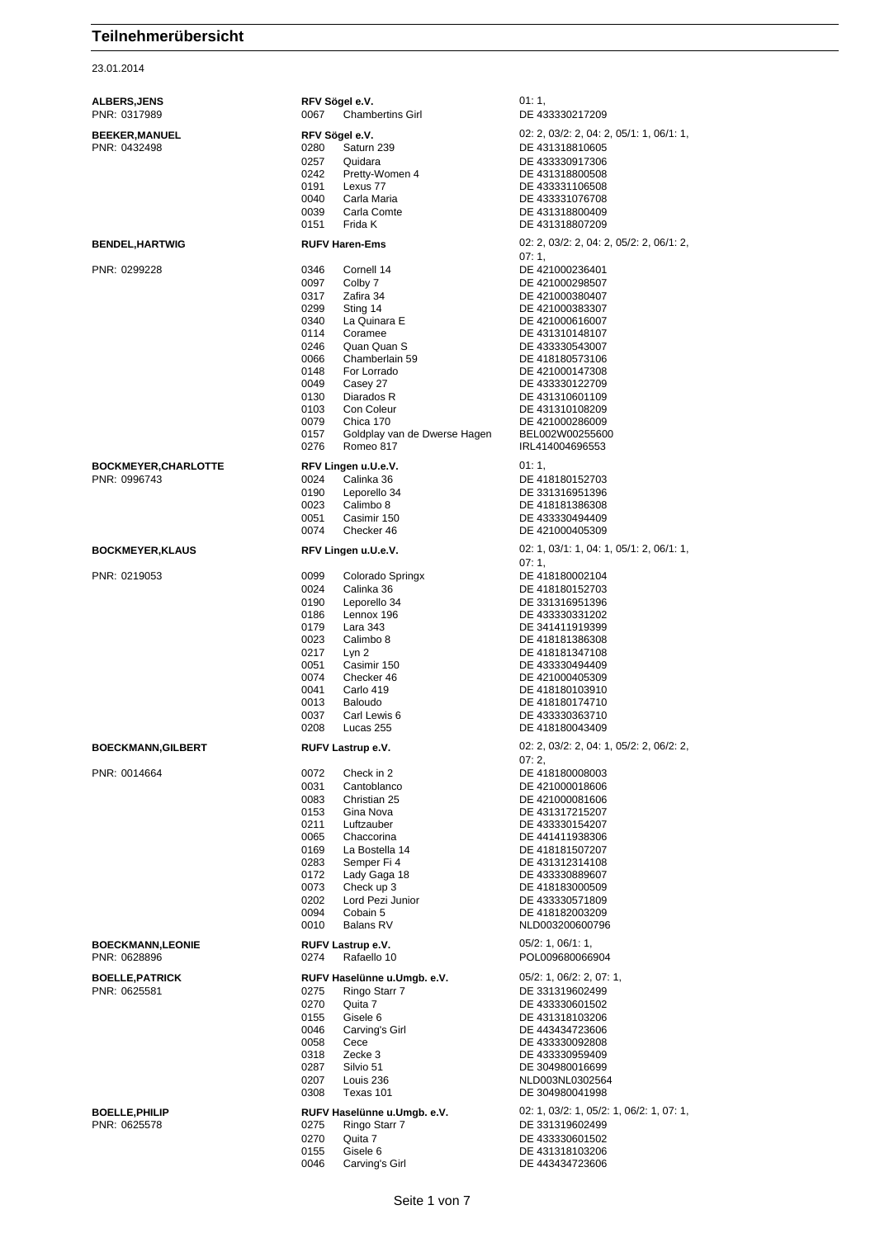23.01.2014

| <b>ALBERS, JENS</b><br>PNR: 0317989         | RFV Sögel e.V.<br>0067<br><b>Chambertins Girl</b>                                                                                                                                                                                                                                                                                                   | 01:1,<br>DE 433330217209                                                                                                                                                                                                                                                                           |
|---------------------------------------------|-----------------------------------------------------------------------------------------------------------------------------------------------------------------------------------------------------------------------------------------------------------------------------------------------------------------------------------------------------|----------------------------------------------------------------------------------------------------------------------------------------------------------------------------------------------------------------------------------------------------------------------------------------------------|
| <b>BEEKER, MANUEL</b><br>PNR: 0432498       | RFV Sögel e.V.<br>Saturn 239<br>0280<br>0257<br>Quidara<br>0242<br>Pretty-Women 4<br>0191<br>Lexus 77<br>0040<br>Carla Maria<br>0039<br>Carla Comte<br>0151<br>Frida K                                                                                                                                                                              | 02: 2, 03/2: 2, 04: 2, 05/1: 1, 06/1: 1,<br>DE 431318810605<br>DE 433330917306<br>DE 431318800508<br>DE 433331106508<br>DE 433331076708<br>DE 431318800409<br>DE 431318807209                                                                                                                      |
| <b>BENDEL, HARTWIG</b>                      | <b>RUFV Haren-Ems</b>                                                                                                                                                                                                                                                                                                                               | 02: 2, 03/2: 2, 04: 2, 05/2: 2, 06/1: 2,                                                                                                                                                                                                                                                           |
| PNR: 0299228                                | 0346<br>Cornell 14<br>0097<br>Colby 7<br>0317<br>Zafira 34<br>0299<br>Sting 14<br>0340<br>La Quinara E<br>0114<br>Coramee<br>0246<br>Quan Quan S<br>0066<br>Chamberlain 59<br>0148<br>For Lorrado<br>0049<br>Casey 27<br>0130<br>Diarados R<br>0103<br>Con Coleur<br>0079<br>Chica 170<br>0157<br>Goldplay van de Dwerse Hagen<br>Romeo 817<br>0276 | 07:1,<br>DE 421000236401<br>DE 421000298507<br>DE 421000380407<br>DE 421000383307<br>DE 421000616007<br>DE 431310148107<br>DE 433330543007<br>DE 418180573106<br>DE 421000147308<br>DE 433330122709<br>DE 431310601109<br>DE 431310108209<br>DE 421000286009<br>BEL002W00255600<br>IRL414004696553 |
| <b>BOCKMEYER, CHARLOTTE</b><br>PNR: 0996743 | RFV Lingen u.U.e.V.<br>0024<br>Calinka 36<br>0190<br>Leporello 34<br>0023<br>Calimbo 8<br>0051<br>Casimir 150<br>0074<br>Checker 46                                                                                                                                                                                                                 | 01:1,<br>DE 418180152703<br>DE 331316951396<br>DE 418181386308<br>DE 433330494409<br>DE 421000405309                                                                                                                                                                                               |
| <b>BOCKMEYER, KLAUS</b>                     | RFV Lingen u.U.e.V.                                                                                                                                                                                                                                                                                                                                 | $02: 1, 03/1: 1, 04: 1, 05/1: 2, 06/1: 1,$<br>07:1,                                                                                                                                                                                                                                                |
| PNR: 0219053                                | 0099<br>Colorado Springx<br>0024<br>Calinka 36<br>0190<br>Leporello 34<br>0186<br>Lennox 196<br>0179<br>Lara 343<br>0023<br>Calimbo 8<br>0217<br>Lyn 2<br>0051<br>Casimir 150<br>0074<br>Checker 46<br>0041<br>Carlo 419<br>0013<br>Baloudo<br>0037<br>Carl Lewis 6<br>0208<br>Lucas 255                                                            | DE 418180002104<br>DE 418180152703<br>DE 331316951396<br>DE 433330331202<br>DE 341411919399<br>DE 418181386308<br>DE 418181347108<br>DE 433330494409<br>DE 421000405309<br>DE 418180103910<br>DE 418180174710<br>DE 433330363710<br>DE 418180043409                                                |
| <b>BOECKMANN, GILBERT</b>                   | RUFV Lastrup e.V.                                                                                                                                                                                                                                                                                                                                   | 02: 2, 03/2: 2, 04: 1, 05/2: 2, 06/2: 2,                                                                                                                                                                                                                                                           |
| PNR: 0014664                                | 0072<br>Check in 2<br>0031<br>Cantoblanco<br>0083<br>Christian 25<br>0153<br>Gina Nova<br>0211<br>Luftzauber<br>0065<br>Chaccorina<br>0169<br>La Bostella 14<br>0283<br>Semper Fi 4<br>0172<br>Lady Gaga 18<br>0073<br>Check up 3<br>0202<br>Lord Pezi Junior<br>0094<br>Cobain 5<br>0010<br>Balans RV                                              | 07:2,<br>DE 418180008003<br>DE 421000018606<br>DE 421000081606<br>DE 431317215207<br>DE 433330154207<br>DE 441411938306<br>DE 418181507207<br>DE 431312314108<br>DE 433330889607<br>DE 418183000509<br>DE 433330571809<br>DE 418182003209<br>NLD003200600796                                       |
| <b>BOECKMANN,LEONIE</b><br>PNR: 0628896     | RUFV Lastrup e.V.<br>Rafaello 10<br>0274                                                                                                                                                                                                                                                                                                            | 05/2: 1, 06/1: 1,<br>POL009680066904                                                                                                                                                                                                                                                               |
| <b>BOELLE, PATRICK</b><br>PNR: 0625581      | RUFV Haselünne u.Umgb. e.V.<br>0275<br>Ringo Starr 7<br>0270<br>Quita 7<br>0155<br>Gisele 6<br>0046<br>Carving's Girl<br>0058<br>Cece<br>0318<br>Zecke 3<br>0287<br>Silvio 51<br>0207<br>Louis 236<br>0308<br>Texas 101                                                                                                                             | 05/2: 1, 06/2: 2, 07: 1,<br>DE 331319602499<br>DE 433330601502<br>DE 431318103206<br>DE 443434723606<br>DE 433330092808<br>DE 433330959409<br>DE 304980016699<br>NLD003NL0302564<br>DE 304980041998                                                                                                |
| <b>BOELLE,PHILIP</b><br>PNR: 0625578        | RUFV Haselünne u.Umgb. e.V.<br>0275<br>Ringo Starr 7<br>0270<br>Quita 7<br>0155<br>Gisele 6<br>0046<br>Carving's Girl                                                                                                                                                                                                                               | 02: 1, 03/2: 1, 05/2: 1, 06/2: 1, 07: 1,<br>DE 331319602499<br>DE 433330601502<br>DE 431318103206<br>DE 443434723606                                                                                                                                                                               |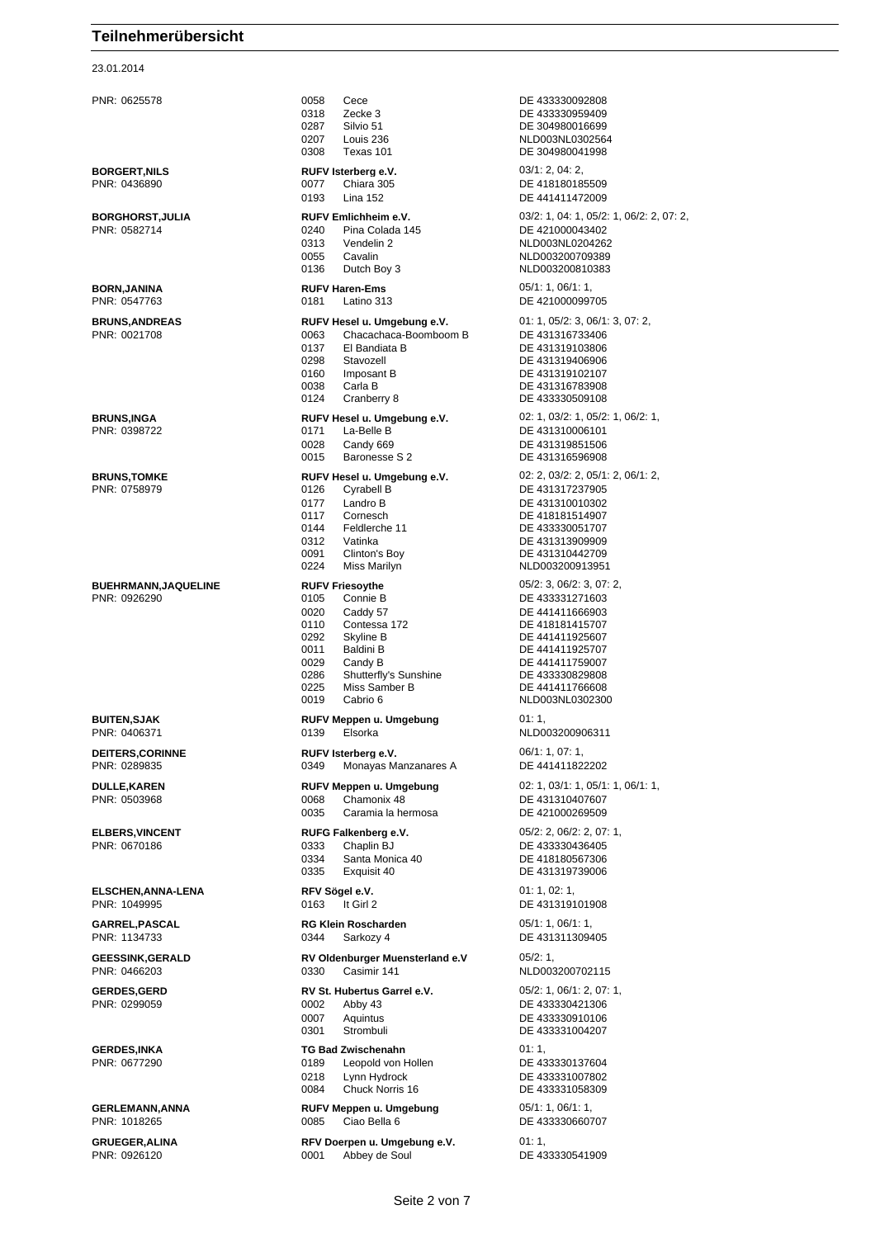23.01.2014

PNR: 0625578 0058 Cece DE 433330092808 0318 Zecke 3 DE 433330959409 0287 Silvio 51 DE 304980016699<br>0207 Louis 236 NLD003NL030256 0207 Louis 236 NLD003NL0302564<br>0308 Texas 101 DE 304980041998 **BORGERT,NILS RUFV Isterberg e.V.** 03/1: 2, 04: 2, PNR: 0436890 0077 Chiara 305 DE 418180185509 0193 Lina 152 DE 441411472009 PNR: 0582714 0240 Pina Colada 145 DE 421000043402 0313 Vendelin 2 NLD003NL0204262 0055 Cavalin 10055 Cavalin 10065 Cavalin 1006610081003200709389<br>1990 0136 Dutch Bov 3 **BORN,JANINA RUFV Haren-Ems** 05/1: 1, 06/1: 1, PNR: 0547763 0181 Latino 313 DE 421000099705 **BRUNS,ANDREAS RUFV Hesel u. Umgebung e.V.** 01: 1, 05/2: 3, 06/1: 3, 07: 2, 08. 08. 2, 06. 2, 06. 2, 06. 2, 07: 2, 07: 2, 07: 2, 07: 2, 07: 2, 07: 2, 07: 2, 07: 2, 07: 2, 07: 2, 07: 2, 07: 2, 07: 02. 08. 08. 0963 Chacach Chacachaca-Boomboom B<br>El Bandiata B 0137 El Bandiata B DE 431319103806 Stavozell **DE 431319406906** 0160 Imposant B DE 431319102107 0038 Carla B DE 431316783908 0124 Cranberry 8 DE 433330509108 **BRUNS.INGA RUFV Hesel u. Umgebung e.V.** 02: 1, 03/2: 1, 05/2: 1, 06/2: 1, PNR: 0398722 0171 La-Belle B DE 431310006101 0028 Candy 669 2 DE 431319851506<br>0015 Baronesse S 2 DE 431316596908 **BRUNS,TOMKE RUFV Hesel u. Umgebung e.V.** 02: 2, 03/2: 2, 05/1: 2, 06/1: 2, PNR: 0758979 0126 Cyrabell B DE 431317237905 0177 Landro B DE 431310010302 0117 Cornesch DE 418181514907<br>0144 Feldlerche 11 DE 433330051707 0144 Feldlerche 11 DE 433330051707 0312 Vatinka DE 431313909909 Clinton's Boy DE 431310442709 0224 Miss Marilyn NLD003200913951 **BUEHRMANN,JAQUELINE RUFV Friesoythe** 05/2: 3, 06/2: 3, 07: 2, PNR: 0926290 0105 Connie B DE 433331271603 0020 Caddy 57 **DE 441411666903**<br>0110 Contessa 172 DE 418181415707 0110 Contessa 172 DE 418181415707<br>0292 Skyline B DE 441411925607 0292 Skyline B DE 441411925607 0011 Baldini B DE 441411925707 0029 Candy B DF 441411759007 0286 Shutterfly's Sunshine DE 433330829808 0225 Miss Samber B DE 441411766608 0019 Cabrio 6 NLD003NL0302300 **BUITEN,SJAK RUFV Meppen u. Umgebung** 01: 1, PNR: 0406371 0139 Elsorka NLD003200906311 **DEITERS,CORINNE RUFV Isterberg e.V.** 06/1: 1, 07: 1, PNR: 0289835 0349 Monayas Manzanares A DE 441411822202 **DULLE,KAREN RUFV Meppen u. Umgebung** 02: 1, 03/1: 1, 05/1: 1, 06/1: 1, PNR: 0503968 0068 Chamonix 48 DE 431310407607 0035 Caramia la hermosa **ELBERS,VINCENT RUFG Falkenberg e.V.** 05/2: 2, 06/2: 2, 07: 1, 0333 Chaplin BJ<br>0334 Santa Monica 40 DE 418180567306 0334 Santa Monica 40 DE 418180567306<br>0335 Exquisit 40 DE 431319739006 Exquisit 40 DE 431319739006 **ELSCHEN,ANNA-LENA RFV Sögel e.V.** 01: 1, 02: 1, PNR: 1049995 0163 It Girl 2 DE 431319101908 **GARREL,PASCAL RG Klein Roscharden** 05/1: 1, 06/1: 1, PNR: 1134733 0344 Sarkozy 4 DE 431311309405 **GEESSINK,GERALD RV Oldenburger Muensterland e.V** 05/2: 1, 0330 Casimir 141 NLD003200702115 **GERDES,GERD RV St. Hubertus Garrel e.V.** 05/2: 1, 06/1: 2, 07: 1, PNR: 0299059 0002 Abby 43 DE 433330421306 0007 Aquintus DE 433330910106 0301 Strombuli DE 433331004207 **GERDES,INKA TG Bad Zwischenahn** 01: 1, PNR: 0677290 0189 Leopold von Hollen DE 433330137604 0218 Lynn Hydrock DE 433331007802<br>
0084 Chuck Norris 16 DE 433331058309 0084 Chuck Norris 16 DE 433331058309 **GERLEMANN,ANNA RUFV Meppen u. Umgebung** 05/1: 1, 06/1: 1, PNR: 1018265 0085 Ciao Bella 6 DE 433330660707 **GRUEGER, ALINA RFV Doerpen u. Umgebung e.V.** 01: 1,<br>
PNR: 0926120 **DE 43**<br>
DE 43

DE 304980041998 **BORGHORST,JULIA RUFV Emlichheim e.V.** 03/2: 1, 04: 1, 05/2: 1, 06/2: 2, 07: 2, NLD003200810383 DE 431316596908 0001 Abbey de Soul DE 433330541909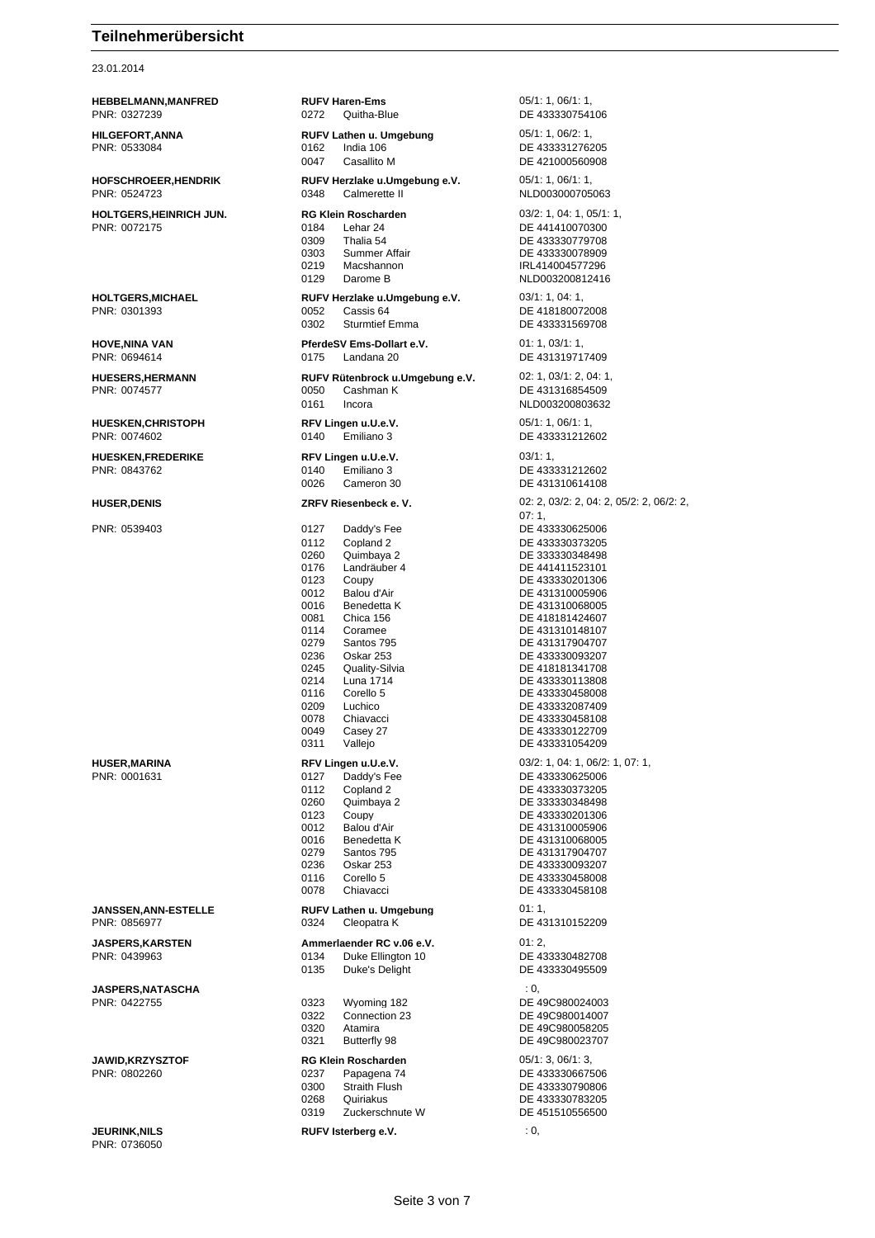23.01.2014

| <b>HUSER, MARINA</b><br>PNR: 0001631    |  |
|-----------------------------------------|--|
|                                         |  |
| JANSSEN, ANN-ESTELLE<br>PNR: 0856977    |  |
| <b>JASPERS, KARSTEN</b><br>PNR: 0439963 |  |
| JASPERS, NATASCHA<br>PNR: 0422755       |  |
| <b>JAWID,KRZYSZTOF</b><br>PNR: 0802260  |  |

**JEURINK,NILS** : 0, PNR: 0736050

**HEBBELMANN,MANFRED RUFV Haren-Ems** 05/1: 1, 06/1: 1, PNR: 0327239 0272 Quitha-Blue DE 433330754106 **HILGEFORT,ANNA RUFV Lathen u. Umgebung** 05/1: 1, 06/2: 1, 06/2: 1, 06/2: 1, 06/2: 1, 06/2: 1, 06/2: 1, 06/2: 1, 06/2: 1, 06/2: 1, 06/2: 1, 07/2: 07/2: 07/2: 07/2: 07/2: 07/2: 07/2: 07/2: 07/2: 07/2: 07/2: 07/2: 07/2: 07 PNR: 0533084 0162 India 106 DE 433331276205 0047 Casallito M DE 421000560908 **HOFSCHROEER,HENDRIK RUFV Herzlake u.Umgebung e.V.** 05/1: 1, 06/1: 1, PNR: 0524723 0348 Calmerette II NLD003000705063 **HOLTGERS,HEINRICH JUN. RG Klein Roscharden** 03/2: 1, 04: 1, 05/1: 1, PNR: 0072175 0184 Lehar 24 DE 441410070300 0309 Thalia 54 DE 433330779708<br>0303 Summer Affair DE 433330078909 DE 433330078909 0219 Macshannon IRL414004577296 0129 Darome B NLD003200812416 **HOLTGERS,MICHAEL RUFV Herzlake u.Umgebung e.V.** 03/1: 1, 04: 1, PNR: 0301393 0052 Cassis 64 DE 418180072008 0302 Sturmtief Emma<br>
DE 433331569708 **HOVE,NINA VAN PferdeSV Ems-Dollart e.V.** 01: 1, 03/1: 1, PNR: 0694614 0175 Landana 20 DE 431319717409 **HUESERS,HERMANN RUFV Rütenbrock u.Umgebung e.V.** 02: 1, 03/1: 2, 04: 1, PNR: 0074577 0050 0050 Cashman K DE 431316854509 0161 Incora NLD003200803632 **HUESKEN,CHRISTOPH RFV Lingen u.U.e.V.** 05/1: 1, 06/1: 1, PNR: 0074602 0140 Emiliano 3 DE 433331212602 **HUESKEN,FREDERIKE RFV Lingen u.U.e.V.** 03/1: 1, PNR: 0843762 0140 Emiliano 3 DE 433331212602 0026 Cameron 30 DE 431310614108 **HUSER,DENIS ZRFV Riesenbeck e. V.** 02: 2, 03/2: 2, 04: 2, 05/2: 2, 06/2: 2, 07: 1, PNR: 0539403 0127 Daddy's Fee DE 433330625006 0112 Copland 2 DE 433330373205 0260 Quimbaya 2 DE 333330348498 0176 Landräuber 4 DE 441411523101 0123 Coupy DE 433330201306 0012 Balou d'Air DE 431310005906 0016 Benedetta K DE 431310068005<br>0081 Chica 156 DE 418181424607 DE 418181424607 0114 Coramee DE 431310148107 0279 Santos 795 DE 431317904707 0236 Oskar 253 DE 433330093207 0245 Quality-Silvia DE 418181341708 DE 433330113808 0116 Corello 5 DE 433330458008 0209 Luchico DE 433332087409<br>0078 Chiavacci DE 433330458108 0078 Chiavacci DE 433330458108<br>0049 Casev 27 DE 433330122709 Casey 27 DE 433330122709 0311 Vallejo DE 433331054209 **RFV Lingen u.U.e.V.** 03/2: 1, 04: 1, 06/2: 1, 07: 1, 0127 Daddy's Fee DE 433330625006 0112 Copland 2 DE 433330373205 0260 Quimbaya 2 DE 333330348498 0123 Coupy DE 433330201306<br>
0012 Balou d'Air DE 431310005906 0012 Balou d'Air DE 431310005906 0016 Benedetta K DE 431310068005 0279 Santos 795 DE 431317904707 0236 Oskar 253 DE 433330093207<br>0116 Corello 5 DE 433330458008 0116 Corello 5 DE 433330458008 DE 433330458108 **RUFV Lathen u. Umgebung** 01: 1, 0324 Cleopatra K DE 431310152209 **Ammerlaender RC v.06 e.V.** 01: 2, 0134 Duke Ellington 10 DE 433330482708 0135 Duke's Delight DE 433330495509 **JASPERS,NATASCHA** : 0, 0323 Wyoming 182 DE 49C980024003 0322 Connection 23 DE 49C980014007 0320 Atamira DE 49C980058205 DE 49C980023707 **JAWID,KRZYSZTOF RG Klein Roscharden** 05/1: 3, 06/1: 3, 0237 Papagena 74 DE 433330667506<br>0300 Straith Flush DE 433330790806 DE 433330790806 0268 Quiriakus DE 433330783205 0319 Zuckerschnute W DE 451510556500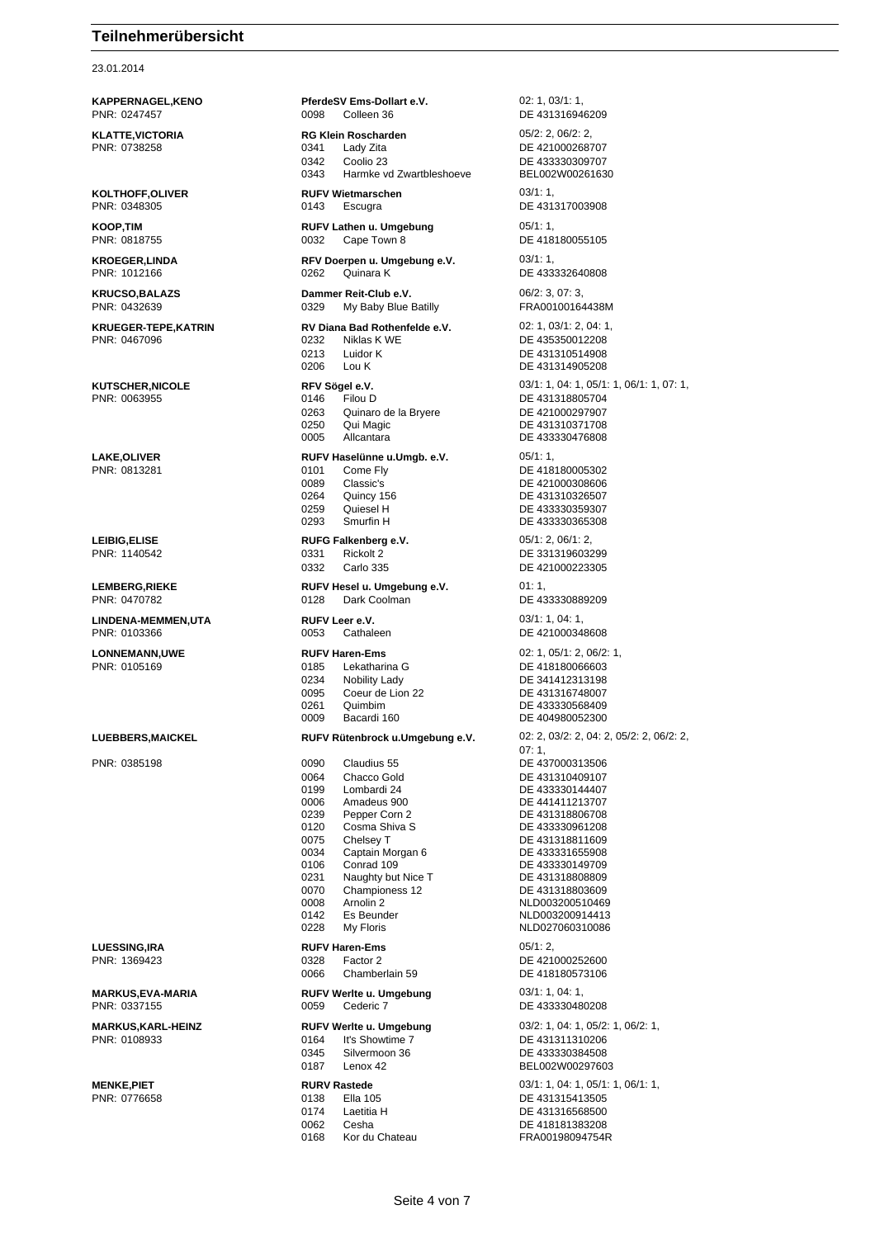23.01.2014

**MARKUS,EVA-MARIA RUFV Werlte u. Umgebung** 03/1: 1, 04: 1,

**KAPPERNAGEL,KENO PferdeSV Ems-Dollart e.V.** 02: 1, 03/1: 1, PNR: 0247457 0098 Colleen 36 DE 431316946209 **KLATTE,VICTORIA RG Klein Roscharden** 05/2: 2, 06/2: 2, PNR: 0738258 0341 Lady Zita DE 421000268707 0342 Coolio 23 DE 433330309707<br>0343 Harmke vd Zwartbleshoeve BEL002W00261630 Harmke vd Zwartbleshoeve **KOLTHOFF,OLIVER RUFV Wietmarschen** 03/1: 1, PNR: 0348305 0143 Escugra DE 431317003908 **KOOP,TIM RUFV Lathen u. Umgebung** 05/1: 1,<br>
PNR: 0818755 **DE 418** 0032 Cape Town 8 DE 418180055105 **KROEGER,LINDA RFV Doerpen u. Umgebung e.V.** 03/1: 1,<br>PNR: 1012166 **DE 433 DE 433** 0262 Quinara K DE 433332640808 **KRUCSO,BALAZS Dammer Reit-Club e.V. Dammer Reit-Club e.V.** 06/2: 3, 07: 3, PNR: 0432639 0329 My Baby Blue Batilly FRA00100164438M **KRUEGER-TEPE,KATRIN RV Diana Bad Rothenfelde e.V.** 02: 1, 03/1: 2, 04: 1, 03/1: 2, 04: 1, 03/1: 2, 04: 1, 03/1: 2, 04: 1, 03/1: 2, 04: 1, 03/1: 2, 04: 1, 03/1: 2, 04: 1, 03/1: 2, 04: 1, 03/1: 2, 04: 04: 05: 05: 43535001 0213 Luidor K DE 431310514908<br>0206 Lou K DE 431314905208 Lou K DE 431314905208 0263 Quinaro de la Bryere **DE 421000297907**<br>0250 Qui Magic **DE 431310371708** 0005 Allcantara DE 433330476808 **LAKE,OLIVER RUFV Haselünne u.Umgb. e.V.** 05/1: 1, PNR: 0813281 0101 Come Fly DE 418180005302 0089 Classic's DE 421000308606 0264 Quincy 156 **DE 431310326507**<br>0259 Quiesel H DE 433330359307 0259 Quiesel H DE 433330359307<br>0293 Smurfin H DE 433330365308 **LEIBIG,ELISE RUFG Falkenberg e.V.** 05/1: 2, 06/1: 2, 0331 Rickolt 2 DE 331319603299 0332 Carlo 335 DE 421000223305 **LEMBERG,RIEKE RUFV Hesel u. Umgebung e.V.** 01: 1, PNR: 0470782 0128 Dark Coolman DE 433330889209 **LINDENA-MEMMEN,UTA RUFV Leer e.V.** 03/1: 1, 04: 1, PNR: 0103366 0053 Cathaleen DE 421000348608 **LONNEMANN,UWE RUFV Haren-Ems** 02: 1, 05/1: 2, 06/2: 1, PNR: 0105169 0185 Lekatharina G DE 418180066603 0234 Nobility Lady<br>
0095 Coeur de Lion 22 DE 431316748007 0095 Coeur de Lion 22 Quimbim<br>0261 Quimbim Quimbim DE 433330568409 0261 Quimbim DE 433330568409<br>1990 DE 404980052300 PNR: 0385198 0090 Claudius 55 DE 437000313506 0064 Chacco Gold DE 431310409107 0199 Lombardi 24 DE 433330144407<br>0006 Amadeus 900 DE 441411213707 0006 Amadeus 900 DE 441411213707<br>0239 Pepper Corn 2 DE 431318806708 0120 Cosma Shiva S<br>DE 433330961208 0075 Chelsey T DE 431318811609 0034 Captain Morgan 6 DE 433331655908 0106 Conrad 109 DE 433330149709 0231 Naughty but Nice T<br>0070 Championess 12 DE 431318803609 0008 Arnolin 2 NLD003200510469 0142 Es Beunder NLD003200914413<br>0228 My Floris NLD027060310086 **LUESSING,IRA RUFV Haren-Ems** 05/1: 2, PNR: 1369423 0328 Factor 2 DE 421000252600 0066 Chamberlain 59 DE 418180573106

PNR: 0108933 0164 It's Showtime 7 DE 431311310206

PNR: 0776658 0138 Ella 105 DE 431315413505 0174 Laetitia H DE 431316568500 0062 Cesha DE 418181383208

PNR: 0467096 0232 Niklas K WE DE 435350012208 **KUTSCHER, NICOLE RFV Sögel e.V. RFV Sogel e.V.** 03/1: 1, 04: 1, 05/1: 1, 06/1: 1, 07: 1, PNR: 0063955 0146 Filou D DE 431318805704 DE 431310371708 DE 433330365308 DE 404980052300 **LUEBBERS,MAICKEL RUFV Rütenbrock u.Umgebung e.V.** 02: 2, 03/2: 2, 04: 2, 05/2: 2, 06/2: 2, 07: 1, DE 431318806708 DE 431318803609 NLD027060310086 0059 Cederic 7 DE 433330480208 **MARKUS,KARL-HEINZ RUFV Werlte u. Umgebung** 03/2: 1, 04: 1, 05/2: 1, 06/2: 1, Silvermoon 36 DE 433330384508<br>
Lenox 42 BEL002W0029760 0187 Lenox 42 BEL002W00297603 **MENKE,PIET RURV Rastede** 03/1: 1, 04: 1, 05/1: 1, 06/1: 1, 0168 Kor du Chateau FRA00198094754R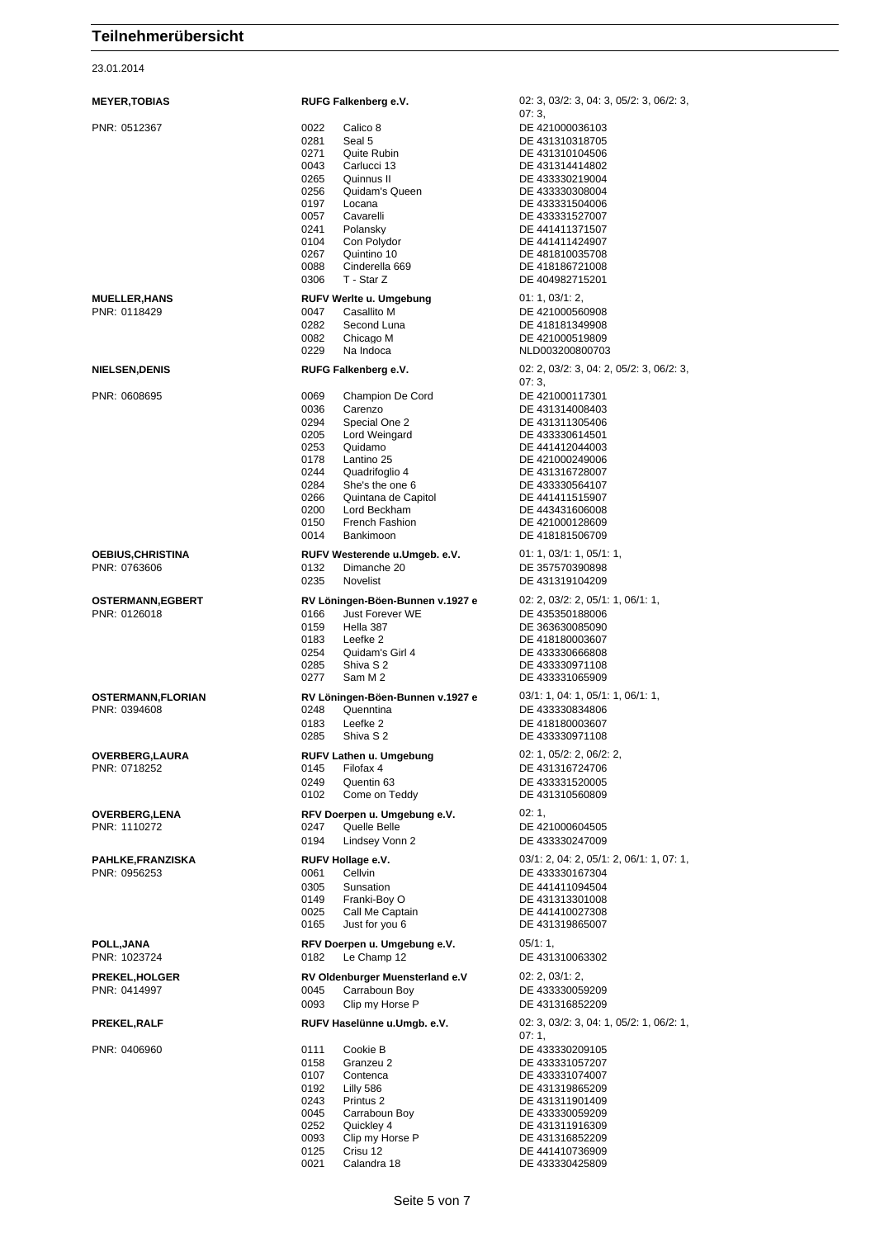23.01.2014

| <b>MEYER,TOBIAS</b>                  | RUFG Falkenberg e.V.                                                                                                                                                                                                                                                                                                      | 02: 3, 03/2: 3, 04: 3, 05/2: 3, 06/2: 3,                                                                                                                                                                                                                                              |
|--------------------------------------|---------------------------------------------------------------------------------------------------------------------------------------------------------------------------------------------------------------------------------------------------------------------------------------------------------------------------|---------------------------------------------------------------------------------------------------------------------------------------------------------------------------------------------------------------------------------------------------------------------------------------|
| PNR: 0512367                         | 0022<br>Calico 8<br>0281<br>Seal 5<br>0271<br>Quite Rubin<br>0043<br>Carlucci 13<br>0265<br>Quinnus II<br>0256<br>Quidam's Queen<br>0197<br>Locana<br>0057<br>Cavarelli<br>0241<br>Polansky<br>0104<br>Con Polydor<br>0267<br>Quintino 10<br>0088<br>Cinderella 669<br>T - Star Z<br>0306                                 | 07:3,<br>DE 421000036103<br>DE 431310318705<br>DE 431310104506<br>DE 431314414802<br>DE 433330219004<br>DE 433330308004<br>DE 433331504006<br>DE 433331527007<br>DE 441411371507<br>DE 441411424907<br>DE 481810035708<br>DE 418186721008<br>DE 404982715201                          |
| <b>MUELLER,HANS</b><br>PNR: 0118429  | RUFV Werlte u. Umgebung<br>Casallito M<br>0047<br>0282<br>Second Luna<br>0082<br>Chicago M<br>0229<br>Na Indoca                                                                                                                                                                                                           | 01: 1, 03/1: 2,<br>DE 421000560908<br>DE 418181349908<br>DE 421000519809<br>NLD003200800703                                                                                                                                                                                           |
| <b>NIELSEN,DENIS</b><br>PNR: 0608695 | RUFG Falkenberg e.V.<br>0069<br>Champion De Cord<br>0036<br>Carenzo<br>0294<br>Special One 2<br>0205<br>Lord Weingard<br>0253<br>Quidamo<br>0178<br>Lantino 25<br>0244<br>Quadrifoglio 4<br>0284<br>She's the one 6<br>0266<br>Quintana de Capitol<br>0200<br>Lord Beckham<br>0150<br>French Fashion<br>Bankimoon<br>0014 | 02: 2, 03/2: 3, 04: 2, 05/2: 3, 06/2: 3,<br>07:3.<br>DE 421000117301<br>DE 431314008403<br>DE 431311305406<br>DE 433330614501<br>DE 441412044003<br>DE 421000249006<br>DE 431316728007<br>DE 433330564107<br>DE 441411515907<br>DE 443431606008<br>DE 421000128609<br>DE 418181506709 |
| OEBIUS,CHRISTINA<br>PNR: 0763606     | RUFV Westerende u.Umgeb. e.V.<br>0132<br>Dimanche 20<br>0235<br><b>Novelist</b>                                                                                                                                                                                                                                           | 01: 1, 03/1: 1, 05/1: 1,<br>DE 357570390898<br>DE 431319104209                                                                                                                                                                                                                        |
| OSTERMANN,EGBERT<br>PNR: 0126018     | RV Löningen-Böen-Bunnen v.1927 e<br>Just Forever WE<br>0166<br>0159<br>Hella 387<br>0183<br>Leefke 2<br>0254<br>Quidam's Girl 4<br>0285<br>Shiva S 2<br>0277<br>Sam M 2                                                                                                                                                   | 02: 2, 03/2: 2, 05/1: 1, 06/1: 1,<br>DE 435350188006<br>DE 363630085090<br>DE 418180003607<br>DE 433330666808<br>DE 433330971108<br>DE 433331065909                                                                                                                                   |
| OSTERMANN,FLORIAN<br>PNR: 0394608    | RV Löningen-Böen-Bunnen v.1927 e<br>0248<br>Quenntina<br>0183<br>Leefke 2<br>0285<br>Shiva S 2                                                                                                                                                                                                                            | 03/1: 1, 04: 1, 05/1: 1, 06/1: 1,<br>DE 433330834806<br>DE 418180003607<br>DE 433330971108                                                                                                                                                                                            |
| OVERBERG,LAURA<br>PNR: 0718252       | RUFV Lathen u. Umgebung<br>Filofax 4<br>0145<br>0249<br>Quentin 63<br>0102<br>Come on Teddy                                                                                                                                                                                                                               | 02: 1, 05/2: 2, 06/2: 2,<br>DE 431316724706<br>DE 433331520005<br>DE 431310560809                                                                                                                                                                                                     |
| <b>OVERBERG,LENA</b><br>PNR: 1110272 | RFV Doerpen u. Umgebung e.V.<br>0247<br>Quelle Belle<br>0194<br>Lindsey Vonn 2                                                                                                                                                                                                                                            | 02:1,<br>DE 421000604505<br>DE 433330247009                                                                                                                                                                                                                                           |
| PAHLKE,FRANZISKA<br>PNR: 0956253     | RUFV Hollage e.V.<br>Cellvin<br>0061<br>0305<br>Sunsation<br>0149<br>Franki-Boy O<br>0025<br>Call Me Captain<br>0165<br>Just for you 6                                                                                                                                                                                    | $03/1: 2, 04: 2, 05/1: 2, 06/1: 1, 07: 1,$<br>DE 433330167304<br>DE 441411094504<br>DE 431313301008<br>DE 441410027308<br>DE 431319865007                                                                                                                                             |
| POLL,JANA<br>PNR: 1023724            | RFV Doerpen u. Umgebung e.V.<br>Le Champ 12<br>0182                                                                                                                                                                                                                                                                       | 05/1:1,<br>DE 431310063302                                                                                                                                                                                                                                                            |
| PREKEL,HOLGER<br>PNR: 0414997        | RV Oldenburger Muensterland e.V<br>0045<br>Carraboun Boy<br>0093<br>Clip my Horse P                                                                                                                                                                                                                                       | 02: 2, 03/1: 2,<br>DE 433330059209<br>DE 431316852209                                                                                                                                                                                                                                 |
| PREKEL,RALF<br>PNR: 0406960          | RUFV Haselünne u.Umgb. e.V.<br>0111<br>Cookie B<br>0158<br>Granzeu 2<br>0107<br>Contenca<br>0192<br>Lilly 586<br>0243<br>Printus 2<br>0045<br>Carraboun Boy<br>0252<br>Quickley 4<br>0093<br>Clip my Horse P<br>0125<br>Crisu 12<br>0021<br>Calandra 18                                                                   | $02: 3, 03/2: 3, 04: 1, 05/2: 1, 06/2: 1,$<br>07:1,<br>DE 433330209105<br>DE 433331057207<br>DE 433331074007<br>DE 431319865209<br>DE 431311901409<br>DE 433330059209<br>DE 431311916309<br>DE 431316852209<br>DE 441410736909<br>DE 433330425809                                     |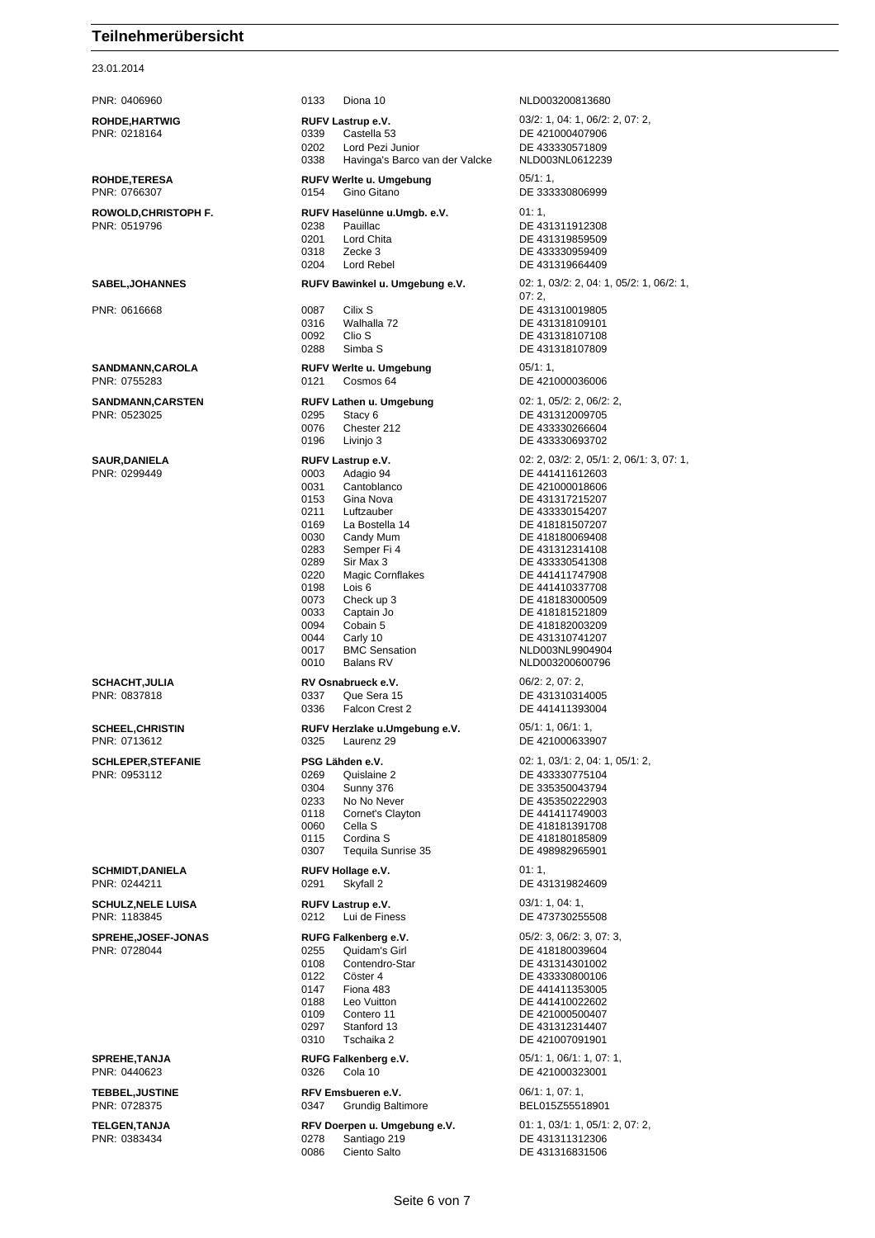23.01.2014

PNR: 0406960 0133 Diona 10 NLD003200813680 **ROHDE,HARTWIG RUFV Lastrup e.V.** 03/2: 1, 04: 1, 06/2: 2, 07: 2, PNR: 0218164 0339 Castella 53 DE 421000407906 0202 Lord Pezi Junior DE 433330571809<br>0338 Havinga's Barco van der Valcke NLD003NL0612239 0338 Havinga's Barco van der Valcke **ROHDE,TERESA RUFV Werlte u. Umgebung** 05/1: 1, PNR: 0766307 0154 Gino Gitano DE 333330806999 **ROWOLD,CHRISTOPH F. RUFV Haselünne u.Umgb. e.V.** 01: 1, PNR: 0519796 0238 Pauillac DE 431311912308 0201 Lord Chita DE 431319859509 0318 Zecke 3 DE 433330959409 DE 431319664409 **SABEL,JOHANNES RUFV Bawinkel u. Umgebung e.V.** 02: 1, 03/2: 2, 04: 1, 05/2: 1, 06/2: 1, 07: 2, PNR: 0616668 0087 Cilix S DE 431310019805 0316 Walhalla 72 DE 431318109101 0092 Clin S 0288 Simba S DE 431318107809 **SANDMANN,CAROLA RUFV Werlte u. Umgebung** 05/1: 1, PNR: 0755283 0121 Cosmos 64 DE 421000036006 **SANDMANN,CARSTEN RUFV Lathen u. Umgebung** 02: 1, 05/2: 2, 06/2: 2, PNR: 0523025 0295 Stacy 6 DE 431312009705 0076 Chester 212 DE 433330266604<br>0196 Livinjo 3 DE 433330693702 DE 433330693702 **SAUR,DANIELA RUFV Lastrup e.V.** 02: 2, 03/2: 2, 05/1: 2, 06/1: 3, 07: 1, PNR: 0299449 0003 Adagio 94 DE 441411612603 0031 Cantoblanco DE 421000018606<br>0153 Gina Nova DE 431317215207 0153 Gina Nova DE 431317215207 0211 Luftzauber DE 433330154207<br>169 La Bostella 14 DE 418181507207 0169 La Bostella 14 DE 418181507207<br>0030 Candy Mum 0030 Candy Mum<br>
0283 Semper Fi 4 DE 431312314108 0283 Semper Fi 4 DE 431312314108<br>0289 Sir Max 3 DE 433330541308 0289 Sir Max 3 DE 433330541308<br>0220 Magic Cornflakes DE 441411747908 0220 Magic Cornflakes DE 441411747908 0198 Lois 6 DE 441410337708<br>0073 Check up 3 DE 418183000509 Check up 3 DE 418183000509 0033 Captain Jo DE 418181521809 0094 Cobain 5 DE 418182003209 0044 Carly 10 DE 431310741207 0017 BMC Sensation NLD003NL9904904 0010 Balans RV NLD003200600796 **SCHACHT,JULIA RV Osnabrueck e.V.** 06/2: 2, 07: 2, PNR: 0837818 0337 Que Sera 15 DE 431310314005 0336 Falcon Crest 2 DE 441411393004 **SCHEEL,CHRISTIN RUFV Herzlake u.Umgebung e.V.** 05/1: 1, 06/1: 1, PNR: 0713612 0325 Laurenz 29 DE 421000633907 **SCHLEPER,STEFANIE PSG Lähden e.V. 20: 1, 03/1: 2, 04: 1, 05/1: 2, 04: 1, 05/1: 2,** PNR: 0953112 0269 Quislaine 2 DE 433330775104 0304 Sunny 376 DE 335350043794<br>0233 No No Never DE 435350222903 0233 No No Never DE 435350222903<br>
0118 Cornet's Clayton DE 441411749003 0118 Cornet's Clayton DE 441411749003<br>0060 Cella S DE 418181391708 001 Cella S<br>
006 Cordina S<br>
206 218180185809<br>
DE 418180185809 0115 Cordina S<br>
DE 418180185809 0307 Tequila Sunrise 35 DE 498982965901 **SCHMIDT,DANIELA RUFV Hollage e.V.** 01: 1,<br>PNR: 0244211 **DE 43 DE 43 DE 43** DE 431319824609 **SCHULZ,NELE LUISA RUFV Lastrup e.V. CHULZ,NELE LUISA PRICE 2014: 1, 04: 1, 04: 1, 04: 1, 04: 1, 04: 1, 04: 1, 04: 1, 04: 1, 04: 1, 04: 1, 04: 1, 04: 1, 04: 1, 04: 1, 04: 1, 04: 1, 04: 1, 04: 1, 04: 1, 04: 1, 05: 05:** 0212 Lui de Finess DE 473730255508 **SPREHE,JOSEF-JONAS RUFG Falkenberg e.V.** 05/2: 3, 06/2: 3, 07: 3, PNR: 0728044 0255 Quidam's Girl DE 418180039604 0108 Contendro-Star DE 431314301002 0122 Cöster 4 DE 433330800106<br>0147 Fiona 483 DE 441411353005 DE 441411353005 0188 Leo Vuitton DE 441410022602<br>0109 Contero 11 DE 421000500407 0109 Contero 11 DE 421000500407<br>
Stanford 13 DE 431312314407 0297 Stanford 13 DE 431312314407<br>0310 Tschaika 2 DE 421007091901 DE 421007091901 **SPREHE,TANJA RUFG Falkenberg e.V.** 05/1: 1, 06/1: 1, 07: 1, PNR: 0440623 0326 Cola 10 DE 421000323001 **TEBBEL,JUSTINE RFV Emsbueren e.V.** 06/1: 1, 07: 1, BEL015Z55518901 **TELGEN,TANJA RFV Doerpen u. Umgebung e.V.** 01: 1, 03/1: 1, 05/1: 2, 07: 2, PNR: 0383434 0278 Santiago 219 DE 431311312306 0086 Ciento Salto DE 431316831506